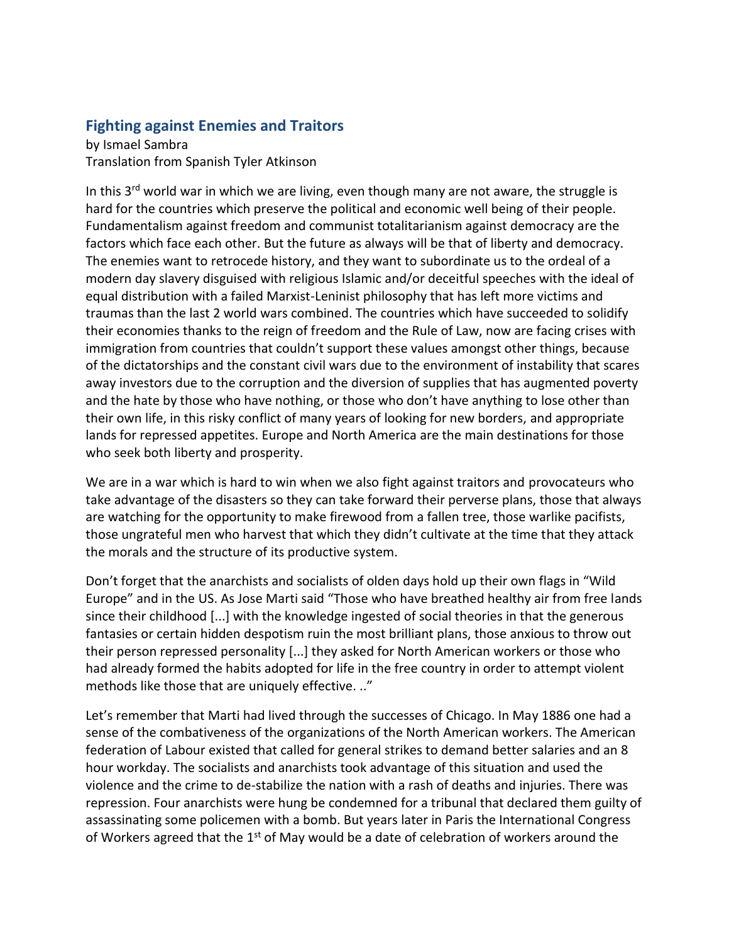## **Fighting against Enemies and Traitors**

by Ismael Sambra Translation from Spanish Tyler Atkinson

In this  $3<sup>rd</sup>$  world war in which we are living, even though many are not aware, the struggle is hard for the countries which preserve the political and economic well being of their people. Fundamentalism against freedom and communist totalitarianism against democracy are the factors which face each other. But the future as always will be that of liberty and democracy. The enemies want to retrocede history, and they want to subordinate us to the ordeal of a modern day slavery disguised with religious Islamic and/or deceitful speeches with the ideal of equal distribution with a failed Marxist-Leninist philosophy that has left more victims and traumas than the last 2 world wars combined. The countries which have succeeded to solidify their economies thanks to the reign of freedom and the Rule of Law, now are facing crises with immigration from countries that couldn't support these values amongst other things, because of the dictatorships and the constant civil wars due to the environment of instability that scares away investors due to the corruption and the diversion of supplies that has augmented poverty and the hate by those who have nothing, or those who don't have anything to lose other than their own life, in this risky conflict of many years of looking for new borders, and appropriate lands for repressed appetites. Europe and North America are the main destinations for those who seek both liberty and prosperity.

We are in a war which is hard to win when we also fight against traitors and provocateurs who take advantage of the disasters so they can take forward their perverse plans, those that always are watching for the opportunity to make firewood from a fallen tree, those warlike pacifists, those ungrateful men who harvest that which they didn't cultivate at the time that they attack the morals and the structure of its productive system.

Don't forget that the anarchists and socialists of olden days hold up their own flags in "Wild Europe" and in the US. As Jose Marti said "Those who have breathed healthy air from free lands since their childhood [...] with the knowledge ingested of social theories in that the generous fantasies or certain hidden despotism ruin the most brilliant plans, those anxious to throw out their person repressed personality [...] they asked for North American workers or those who had already formed the habits adopted for life in the free country in order to attempt violent methods like those that are uniquely effective. .."

Let's remember that Marti had lived through the successes of Chicago. In May 1886 one had a sense of the combativeness of the organizations of the North American workers. The American federation of Labour existed that called for general strikes to demand better salaries and an 8 hour workday. The socialists and anarchists took advantage of this situation and used the violence and the crime to de-stabilize the nation with a rash of deaths and injuries. There was repression. Four anarchists were hung be condemned for a tribunal that declared them guilty of assassinating some policemen with a bomb. But years later in Paris the International Congress of Workers agreed that the  $1<sup>st</sup>$  of May would be a date of celebration of workers around the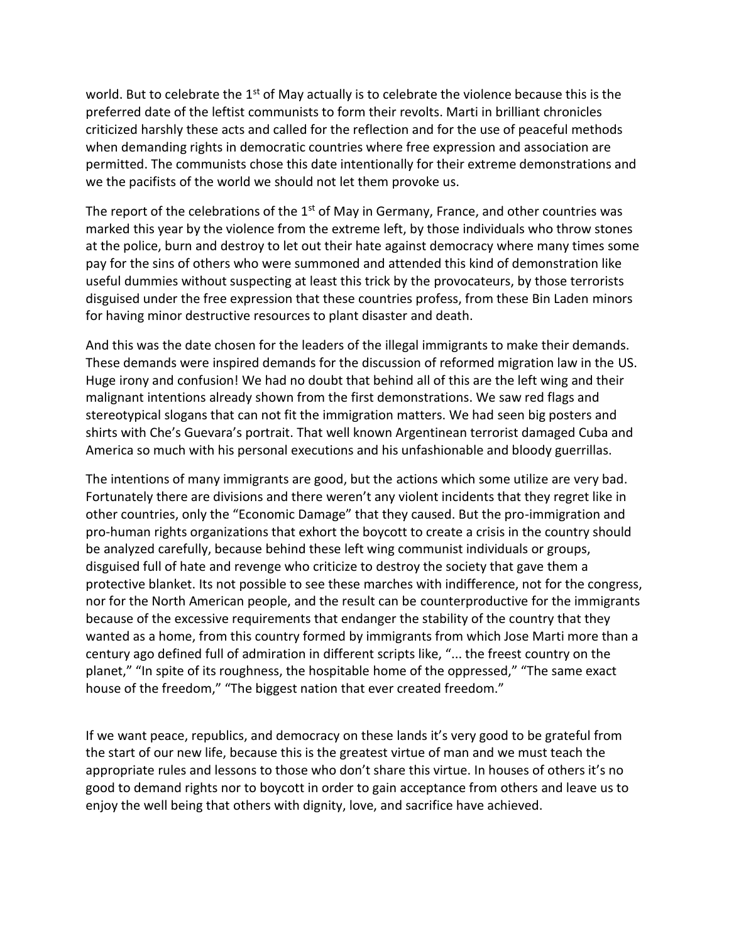world. But to celebrate the 1<sup>st</sup> of May actually is to celebrate the violence because this is the preferred date of the leftist communists to form their revolts. Marti in brilliant chronicles criticized harshly these acts and called for the reflection and for the use of peaceful methods when demanding rights in democratic countries where free expression and association are permitted. The communists chose this date intentionally for their extreme demonstrations and we the pacifists of the world we should not let them provoke us.

The report of the celebrations of the  $1<sup>st</sup>$  of May in Germany, France, and other countries was marked this year by the violence from the extreme left, by those individuals who throw stones at the police, burn and destroy to let out their hate against democracy where many times some pay for the sins of others who were summoned and attended this kind of demonstration like useful dummies without suspecting at least this trick by the provocateurs, by those terrorists disguised under the free expression that these countries profess, from these Bin Laden minors for having minor destructive resources to plant disaster and death.

And this was the date chosen for the leaders of the illegal immigrants to make their demands. These demands were inspired demands for the discussion of reformed migration law in the US. Huge irony and confusion! We had no doubt that behind all of this are the left wing and their malignant intentions already shown from the first demonstrations. We saw red flags and stereotypical slogans that can not fit the immigration matters. We had seen big posters and shirts with Che's Guevara's portrait. That well known Argentinean terrorist damaged Cuba and America so much with his personal executions and his unfashionable and bloody guerrillas.

The intentions of many immigrants are good, but the actions which some utilize are very bad. Fortunately there are divisions and there weren't any violent incidents that they regret like in other countries, only the "Economic Damage" that they caused. But the pro-immigration and pro-human rights organizations that exhort the boycott to create a crisis in the country should be analyzed carefully, because behind these left wing communist individuals or groups, disguised full of hate and revenge who criticize to destroy the society that gave them a protective blanket. Its not possible to see these marches with indifference, not for the congress, nor for the North American people, and the result can be counterproductive for the immigrants because of the excessive requirements that endanger the stability of the country that they wanted as a home, from this country formed by immigrants from which Jose Marti more than a century ago defined full of admiration in different scripts like, "... the freest country on the planet," "In spite of its roughness, the hospitable home of the oppressed," "The same exact house of the freedom," "The biggest nation that ever created freedom."

If we want peace, republics, and democracy on these lands it's very good to be grateful from the start of our new life, because this is the greatest virtue of man and we must teach the appropriate rules and lessons to those who don't share this virtue. In houses of others it's no good to demand rights nor to boycott in order to gain acceptance from others and leave us to enjoy the well being that others with dignity, love, and sacrifice have achieved.